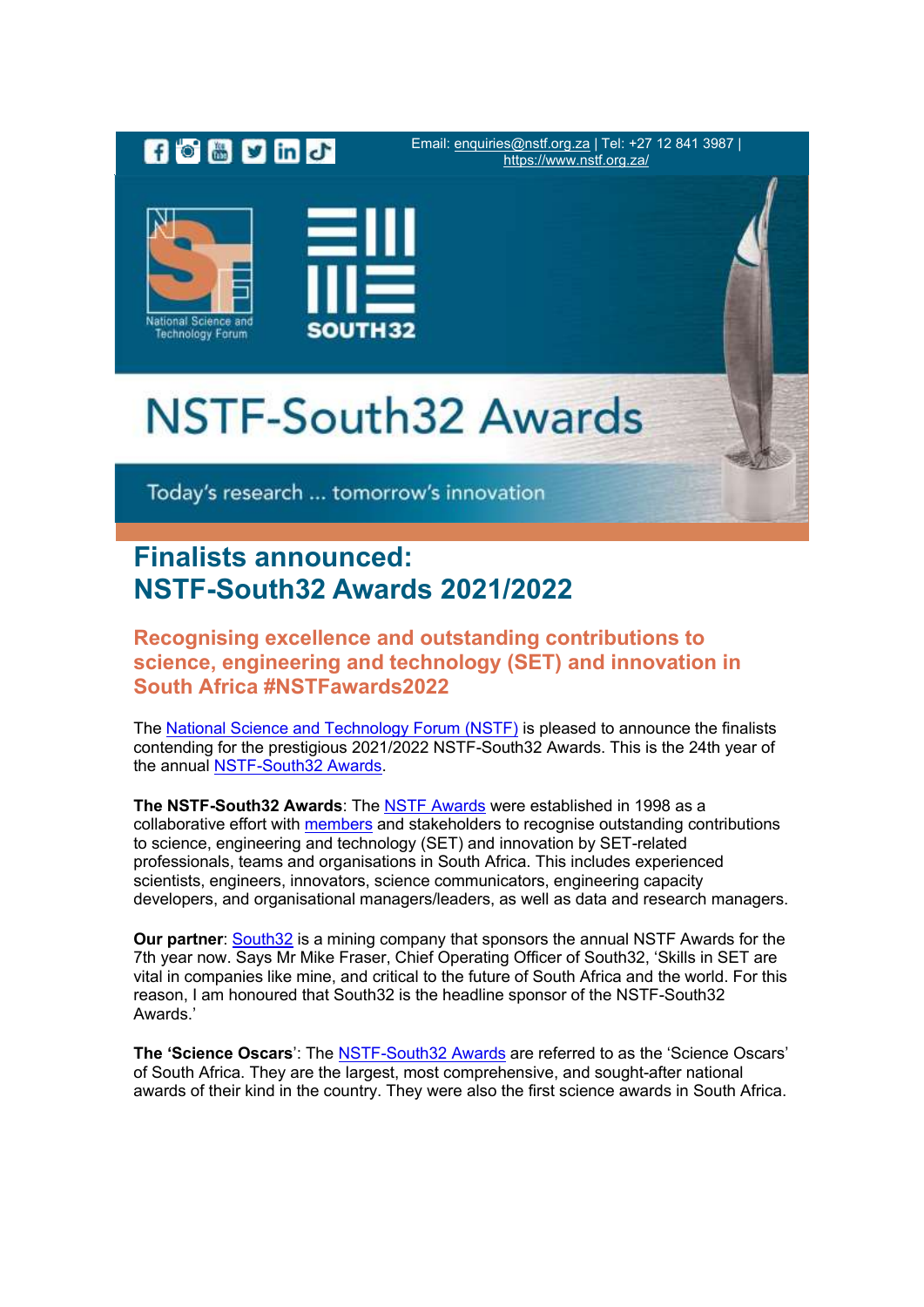

# **Finalists announced: NSTF-South32 Awards 2021/2022**

#### **Recognising excellence and outstanding contributions to science, engineering and technology (SET) and innovation in South Africa #NSTFawards2022**

The [National Science and Technology Forum \(NSTF\)](https://comms.evlink9.net/servlet/link/375/692976/143864004/2865635) is pleased to announce the finalists contending for the prestigious 2021/2022 NSTF-South32 Awards. This is the 24th year of the annual [NSTF-South32 Awards.](https://comms.evlink9.net/servlet/link/375/692976/143864004/2865636)

**The NSTF-South32 Awards**: The [NSTF Awards](https://comms.evlink9.net/servlet/link/375/692976/143864004/2865637) were established in 1998 as a collaborative effort with [members](https://comms.evlink9.net/servlet/link/375/692976/143864004/2865638) and stakeholders to recognise outstanding contributions to science, engineering and technology (SET) and innovation by SET-related professionals, teams and organisations in South Africa. This includes experienced scientists, engineers, innovators, science communicators, engineering capacity developers, and organisational managers/leaders, as well as data and research managers.

**Our partner**: [South32](https://comms.evlink9.net/servlet/link/375/692976/143864004/2865639) is a mining company that sponsors the annual NSTF Awards for the 7th year now. Says Mr Mike Fraser, Chief Operating Officer of South32, 'Skills in SET are vital in companies like mine, and critical to the future of South Africa and the world. For this reason, I am honoured that South32 is the headline sponsor of the NSTF-South32 Awards.'

**The 'Science Oscars**': The [NSTF-South32 Awards](https://comms.evlink9.net/servlet/link/375/692976/143864004/2865640) are referred to as the 'Science Oscars' of South Africa. They are the largest, most comprehensive, and sought-after national awards of their kind in the country. They were also the first science awards in South Africa.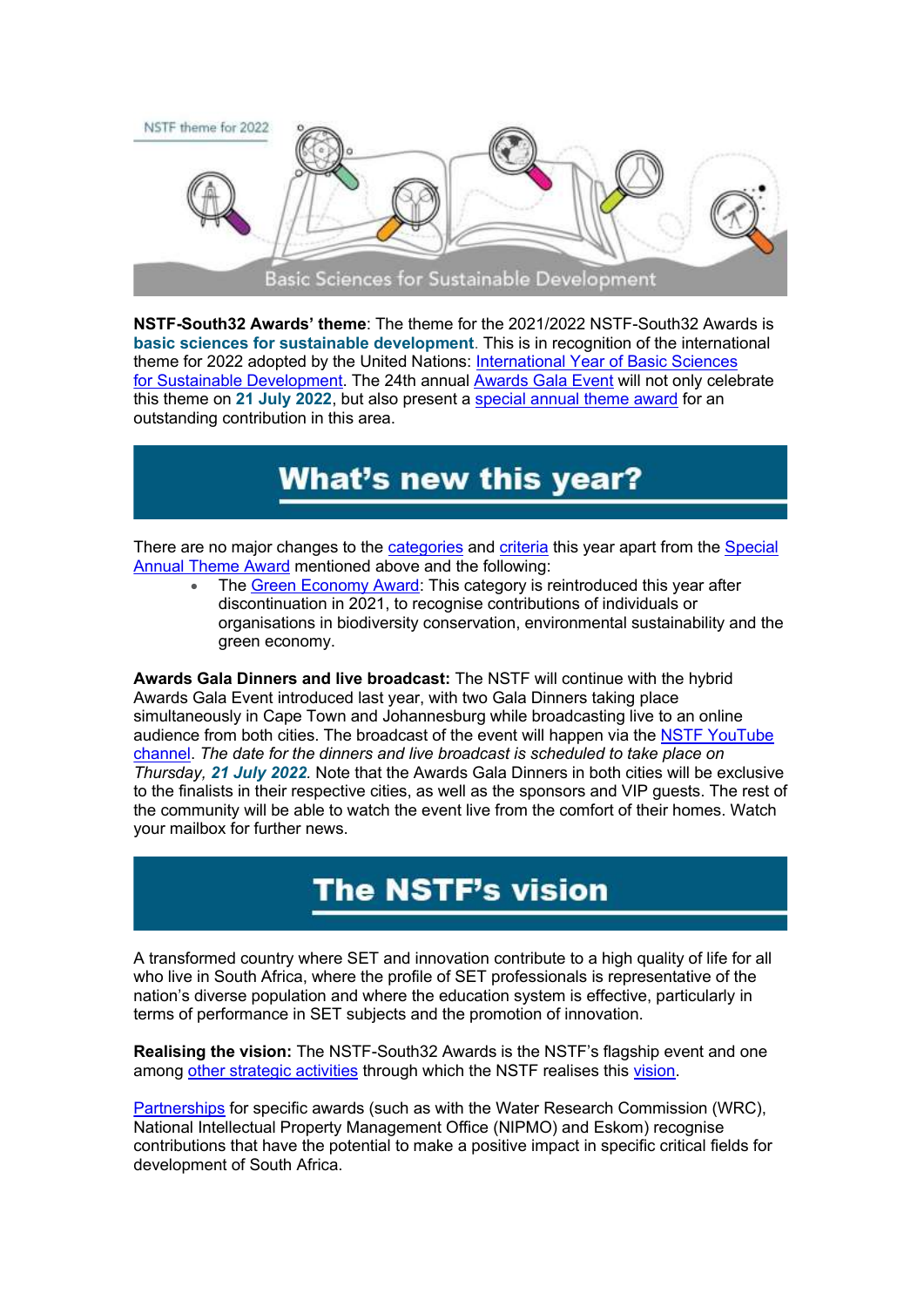

**NSTF-South32 Awards' theme**: The theme for the 2021/2022 NSTF-South32 Awards is **basic sciences for sustainable development**. This is in recognition of the international theme for 2022 adopted by the United Nations: [International Year of Basic Sciences](https://comms.evlink9.net/servlet/link/375/692976/143864004/2865641)  for [Sustainable Development.](https://comms.evlink9.net/servlet/link/375/692976/143864004/2865641) The 24th annual [Awards Gala Event](https://comms.evlink9.net/servlet/link/375/692976/143864004/2865642) will not only celebrate this theme on **21 July 2022**, but also present a [special annual theme award](https://comms.evlink9.net/servlet/link/375/692976/143864004/2865643) for an outstanding contribution in this area.

# **What's new this year?**

There are no major changes to the [categories](https://comms.evlink9.net/servlet/link/375/692976/143864004/2865644) and [criteria](https://comms.evlink9.net/servlet/link/375/692976/143864004/2865645) this year apart from the [Special](https://comms.evlink9.net/servlet/link/375/692976/143864004/2865646) [Annual Theme Award](https://comms.evlink9.net/servlet/link/375/692976/143864004/2865648) mentioned above and the following:

• The [Green Economy Award:](https://comms.evlink9.net/servlet/link/375/692976/143864004/2865649) This category is reintroduced this year after discontinuation in 2021, to recognise contributions of individuals or organisations in biodiversity conservation, environmental sustainability and the areen economy.

**Awards Gala Dinners and live broadcast:** The NSTF will continue with the hybrid Awards Gala Event introduced last year, with two Gala Dinners taking place simultaneously in Cape Town and Johannesburg while broadcasting live to an online audience from both cities. The broadcast of the event will happen via the [NSTF YouTube](https://comms.evlink9.net/servlet/link/375/692976/143864004/2865650)  [channel.](https://comms.evlink9.net/servlet/link/375/692976/143864004/2865650) *The date for the dinners and live broadcast is scheduled to take place on Thursday, 21 July 2022.* Note that the Awards Gala Dinners in both cities will be exclusive to the finalists in their respective cities, as well as the sponsors and VIP guests. The rest of the community will be able to watch the event live from the comfort of their homes. Watch your mailbox for further news.

# The NSTF's vision

A transformed country where SET and innovation contribute to a high quality of life for all who live in South Africa, where the profile of SET professionals is representative of the nation's diverse population and where the education system is effective, particularly in terms of performance in SET subjects and the promotion of innovation.

**Realising the vision:** The NSTF-South32 Awards is the NSTF's flagship event and one among [other strategic activities](https://comms.evlink9.net/servlet/link/375/692976/143864004/2865651) through which the NSTF realises this [vision.](https://comms.evlink9.net/servlet/link/375/692976/143864004/2865652)

[Partnerships](https://comms.evlink9.net/servlet/link/375/692976/143864004/2865653) for specific awards (such as with the Water Research Commission (WRC), National Intellectual Property Management Office (NIPMO) and Eskom) recognise contributions that have the potential to make a positive impact in specific critical fields for development of South Africa.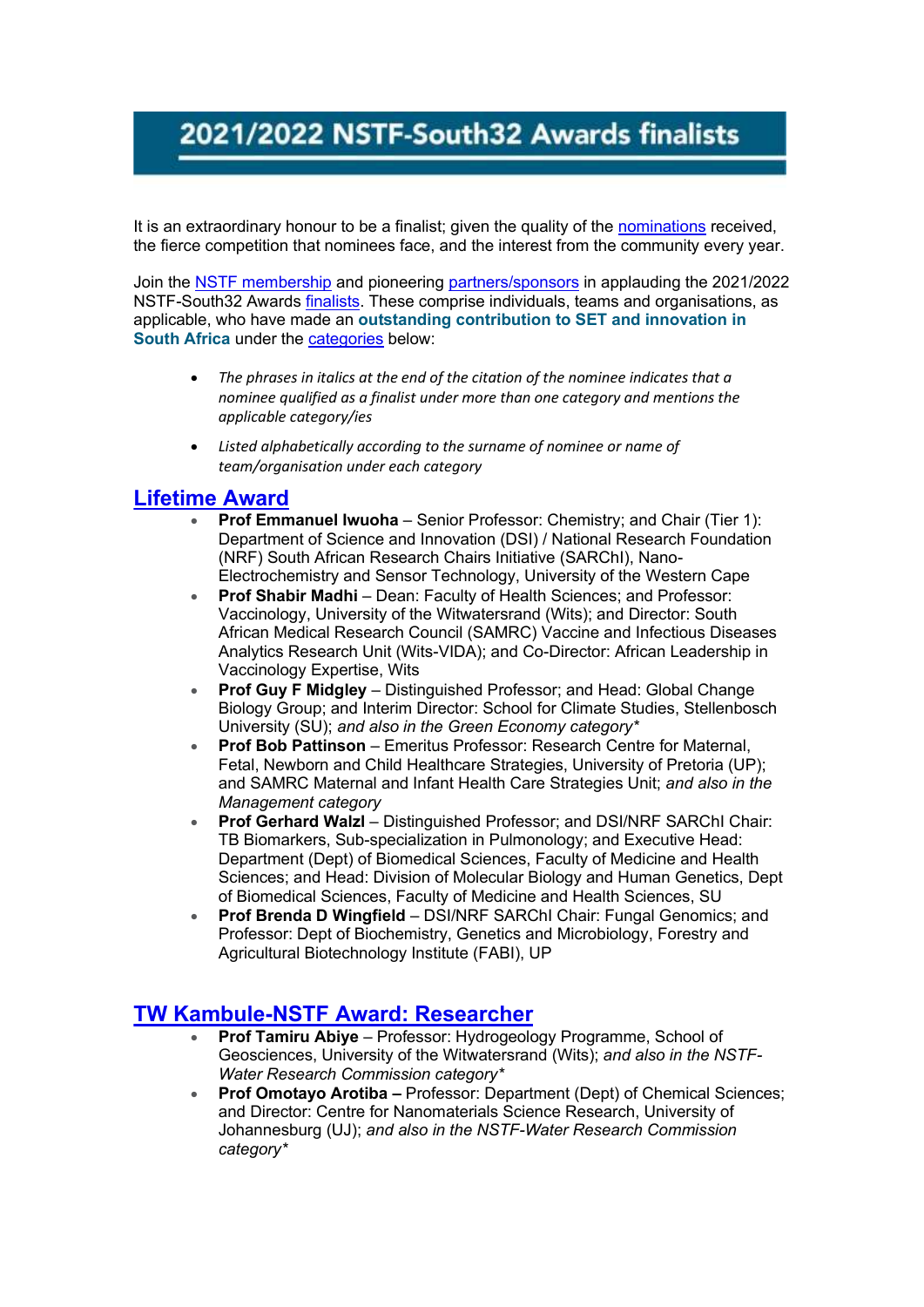# 2021/2022 NSTF-South32 Awards finalists

It is an extraordinary honour to be a finalist; given the quality of the [nominations](https://comms.evlink9.net/servlet/link/375/692976/143864004/2865654) received, the fierce competition that nominees face, and the interest from the community every year.

Join the [NSTF membership](https://comms.evlink9.net/servlet/link/375/692976/143864004/2865655) and pioneering [partners/sponsors](https://comms.evlink9.net/servlet/link/375/692976/143864004/2865656) in applauding the 2021/2022 NSTF-South32 Awards [finalists.](https://comms.evlink9.net/servlet/link/375/692976/143864004/2865657) These comprise individuals, teams and organisations, as applicable, who have made an **outstanding contribution to SET and innovation in South Africa** under the [categories](https://comms.evlink9.net/servlet/link/375/692976/143864004/2865658) below:

- *The phrases in italics at the end of the citation of the nominee indicates that a nominee qualified as a finalist under more than one category and mentions the applicable category/ies*
- *Listed alphabetically according to the surname of nominee or name of team/organisation under each category*

#### **[Lifetime Award](https://comms.evlink9.net/servlet/link/375/692976/143864004/2865659)**

- **Prof Emmanuel Iwuoha** Senior Professor: Chemistry; and Chair (Tier 1): Department of Science and Innovation (DSI) / National Research Foundation (NRF) South African Research Chairs Initiative (SARChI), Nano-Electrochemistry and Sensor Technology, University of the Western Cape
- **Prof Shabir Madhi** Dean: Faculty of Health Sciences; and Professor: Vaccinology, University of the Witwatersrand (Wits); and Director: South African Medical Research Council (SAMRC) Vaccine and Infectious Diseases Analytics Research Unit (Wits-VIDA); and Co-Director: African Leadership in Vaccinology Expertise, Wits
- **Prof Guy F Midgley** Distinguished Professor; and Head: Global Change Biology Group; and Interim Director: School for Climate Studies, Stellenbosch University (SU); *and also in the Green Economy category\**
- **Prof Bob Pattinson** Emeritus Professor: Research Centre for Maternal, Fetal, Newborn and Child Healthcare Strategies, University of Pretoria (UP); and SAMRC Maternal and Infant Health Care Strategies Unit; *and also in the Management category*
- **Prof Gerhard Walzl** Distinguished Professor; and DSI/NRF SARChI Chair: TB Biomarkers, Sub-specialization in Pulmonology; and Executive Head: Department (Dept) of Biomedical Sciences, Faculty of Medicine and Health Sciences; and Head: Division of Molecular Biology and Human Genetics, Dept of Biomedical Sciences, Faculty of Medicine and Health Sciences, SU
- **Prof Brenda D Wingfield** DSI/NRF SARChI Chair: Fungal Genomics; and Professor: Dept of Biochemistry, Genetics and Microbiology, Forestry and Agricultural Biotechnology Institute (FABI), UP

### **[TW Kambule-NSTF Award: Researcher](https://comms.evlink9.net/servlet/link/375/692976/143864004/2865660)**

- **Prof Tamiru Abiye** Professor: Hydrogeology Programme, School of Geosciences, University of the Witwatersrand (Wits); *and also in the NSTF-Water Research Commission category\**
- **Prof Omotayo Arotiba –** Professor: Department (Dept) of Chemical Sciences; and Director: Centre for Nanomaterials Science Research, University of Johannesburg (UJ); *and also in the NSTF-Water Research Commission category\**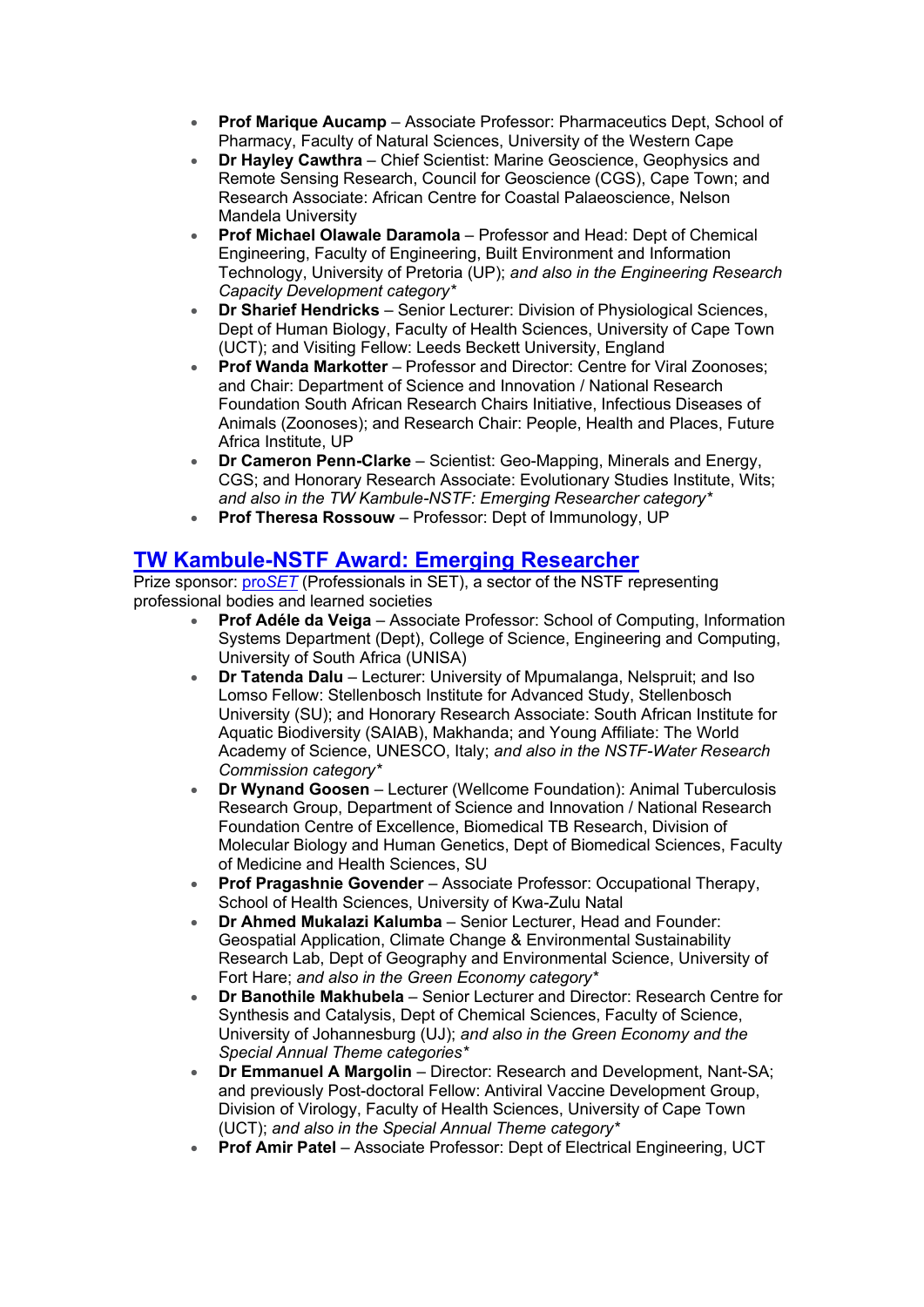- **Prof Marique Aucamp** Associate Professor: Pharmaceutics Dept, School of Pharmacy, Faculty of Natural Sciences, University of the Western Cape
- **Dr Hayley Cawthra** Chief Scientist: Marine Geoscience, Geophysics and Remote Sensing Research, Council for Geoscience (CGS), Cape Town; and Research Associate: African Centre for Coastal Palaeoscience, Nelson Mandela University
- **Prof Michael Olawale Daramola** Professor and Head: Dept of Chemical Engineering, Faculty of Engineering, Built Environment and Information Technology, University of Pretoria (UP); *and also in the Engineering Research Capacity Development category\**
- **Dr Sharief Hendricks** Senior Lecturer: Division of Physiological Sciences, Dept of Human Biology, Faculty of Health Sciences, University of Cape Town (UCT); and Visiting Fellow: Leeds Beckett University, England
- **Prof Wanda Markotter** Professor and Director: Centre for Viral Zoonoses; and Chair: Department of Science and Innovation / National Research Foundation South African Research Chairs Initiative, Infectious Diseases of Animals (Zoonoses); and Research Chair: People, Health and Places, Future Africa Institute, UP
- **Dr Cameron Penn-Clarke** Scientist: Geo-Mapping, Minerals and Energy, CGS; and Honorary Research Associate: Evolutionary Studies Institute, Wits; *and also in the TW Kambule-NSTF: Emerging Researcher category\**
- **Prof Theresa Rossouw** Professor: Dept of Immunology, UP

### **[TW Kambule-NSTF Award: Emerging Researcher](https://comms.evlink9.net/servlet/link/375/692976/143864004/2865661)**

Prize sponsor: pro*[SET](https://comms.evlink9.net/servlet/link/375/692976/143864004/2865662)* (Professionals in SET), a sector of the NSTF representing professional bodies and learned societies

- **Prof Adéle da Veiga** Associate Professor: School of Computing, Information Systems Department (Dept), College of Science, Engineering and Computing, University of South Africa (UNISA)
- **Dr Tatenda Dalu** Lecturer: University of Mpumalanga, Nelspruit; and Iso Lomso Fellow: Stellenbosch Institute for Advanced Study, Stellenbosch University (SU); and Honorary Research Associate: South African Institute for Aquatic Biodiversity (SAIAB), Makhanda; and Young Affiliate: The World Academy of Science, UNESCO, Italy; *and also in the NSTF-Water Research Commission category\**
- **Dr Wynand Goosen** Lecturer (Wellcome Foundation): Animal Tuberculosis Research Group, Department of Science and Innovation / National Research Foundation Centre of Excellence, Biomedical TB Research, Division of Molecular Biology and Human Genetics, Dept of Biomedical Sciences, Faculty of Medicine and Health Sciences, SU
- **Prof Pragashnie Govender** Associate Professor: Occupational Therapy, School of Health Sciences, University of Kwa-Zulu Natal
- **Dr Ahmed Mukalazi Kalumba** Senior Lecturer, Head and Founder: Geospatial Application, Climate Change & Environmental Sustainability Research Lab, Dept of Geography and Environmental Science, University of Fort Hare; *and also in the Green Economy category\**
- **Dr Banothile Makhubela** Senior Lecturer and Director: Research Centre for Synthesis and Catalysis, Dept of Chemical Sciences, Faculty of Science, University of Johannesburg (UJ); *and also in the Green Economy and the Special Annual Theme categories\**
- **Dr Emmanuel A Margolin** Director: Research and Development, Nant-SA; and previously Post-doctoral Fellow: Antiviral Vaccine Development Group, Division of Virology, Faculty of Health Sciences, University of Cape Town (UCT); *and also in the Special Annual Theme category\**
- **Prof Amir Patel** Associate Professor: Dept of Electrical Engineering, UCT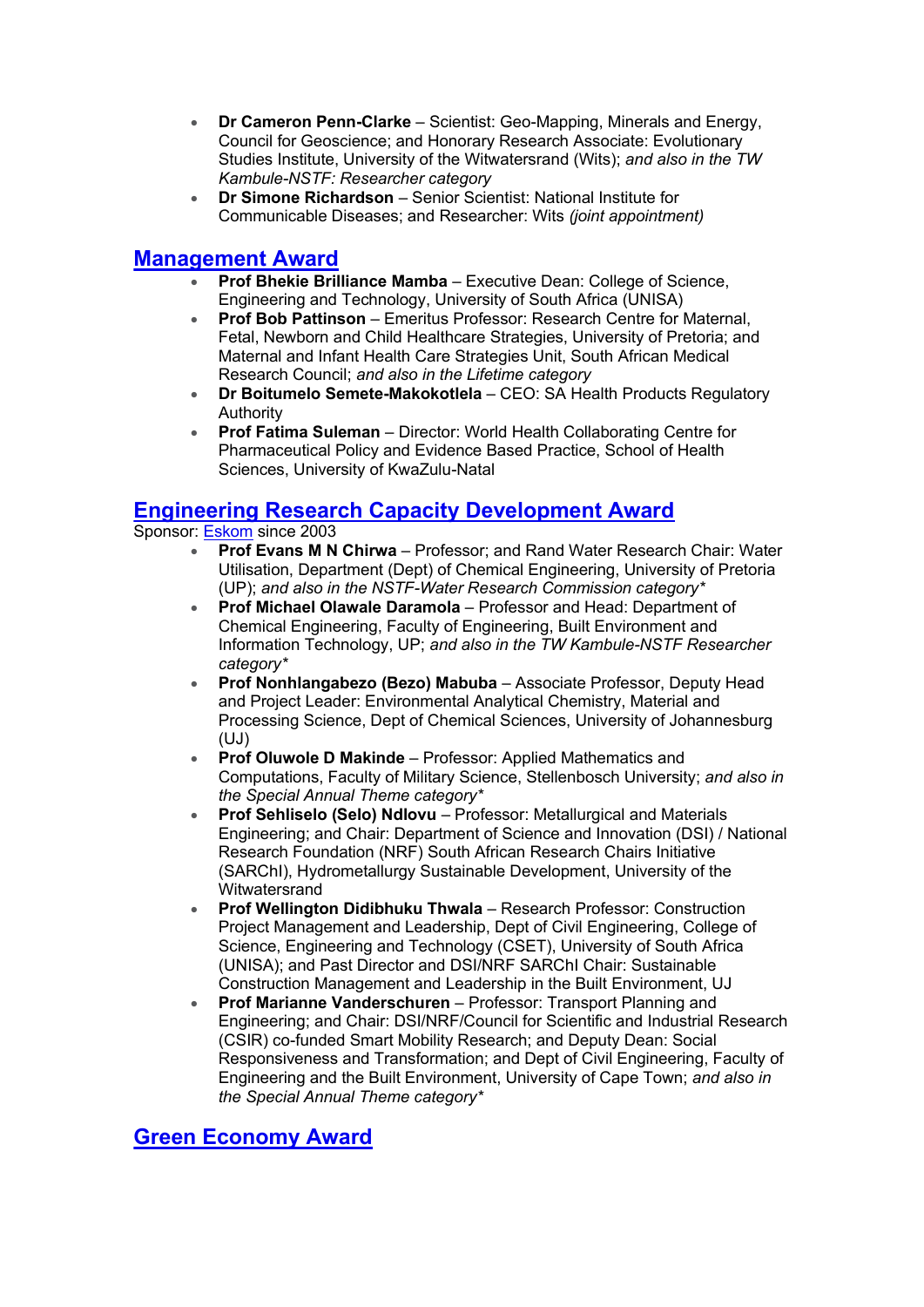- **Dr Cameron Penn-Clarke** Scientist: Geo-Mapping, Minerals and Energy, Council for Geoscience; and Honorary Research Associate: Evolutionary Studies Institute, University of the Witwatersrand (Wits); *and also in the TW Kambule-NSTF: Researcher category*
- **Dr Simone Richardson** Senior Scientist: National Institute for Communicable Diseases; and Researcher: Wits *(joint appointment)*

#### **[Management Award](https://comms.evlink9.net/servlet/link/375/692976/143864004/2865663)**

- **Prof Bhekie Brilliance Mamba** Executive Dean: College of Science, Engineering and Technology, University of South Africa (UNISA)
- **Prof Bob Pattinson** Emeritus Professor: Research Centre for Maternal, Fetal, Newborn and Child Healthcare Strategies, University of Pretoria; and Maternal and Infant Health Care Strategies Unit, South African Medical Research Council; *and also in the Lifetime category*
- **Dr Boitumelo Semete-Makokotlela** CEO: SA Health Products Regulatory Authority
- **Prof Fatima Suleman** Director: World Health Collaborating Centre for Pharmaceutical Policy and Evidence Based Practice, School of Health Sciences, University of KwaZulu-Natal

#### **[Engineering Research Capacity Development Award](https://comms.evlink9.net/servlet/link/375/692976/143864004/2865664)**

#### Sponsor: [Eskom](https://comms.evlink9.net/servlet/link/375/692976/143864004/2865665) since 2003

- **Prof Evans M N Chirwa** Professor; and Rand Water Research Chair: Water Utilisation, Department (Dept) of Chemical Engineering, University of Pretoria (UP); *and also in the NSTF-Water Research Commission category\**
- **Prof Michael Olawale Daramola** Professor and Head: Department of Chemical Engineering, Faculty of Engineering, Built Environment and Information Technology, UP; *and also in the TW Kambule-NSTF Researcher category\**
- **Prof Nonhlangabezo (Bezo) Mabuba** Associate Professor, Deputy Head and Project Leader: Environmental Analytical Chemistry, Material and Processing Science, Dept of Chemical Sciences, University of Johannesburg (UJ)
- **Prof Oluwole D Makinde** Professor: Applied Mathematics and Computations, Faculty of Military Science, Stellenbosch University; *and also in the Special Annual Theme category\**
- **Prof Sehliselo (Selo) Ndlovu** Professor: Metallurgical and Materials Engineering; and Chair: Department of Science and Innovation (DSI) / National Research Foundation (NRF) South African Research Chairs Initiative (SARChI), Hydrometallurgy Sustainable Development, University of the **Witwatersrand**
- **Prof Wellington Didibhuku Thwala** Research Professor: Construction Project Management and Leadership, Dept of Civil Engineering, College of Science, Engineering and Technology (CSET), University of South Africa (UNISA); and Past Director and DSI/NRF SARChI Chair: Sustainable Construction Management and Leadership in the Built Environment, UJ
- **Prof Marianne Vanderschuren** Professor: Transport Planning and Engineering; and Chair: DSI/NRF/Council for Scientific and Industrial Research (CSIR) co-funded Smart Mobility Research; and Deputy Dean: Social Responsiveness and Transformation; and Dept of Civil Engineering, Faculty of Engineering and the Built Environment, University of Cape Town; *and also in the Special Annual Theme category\**

### **[Green Economy Award](https://comms.evlink9.net/servlet/link/375/692976/143864004/2865666)**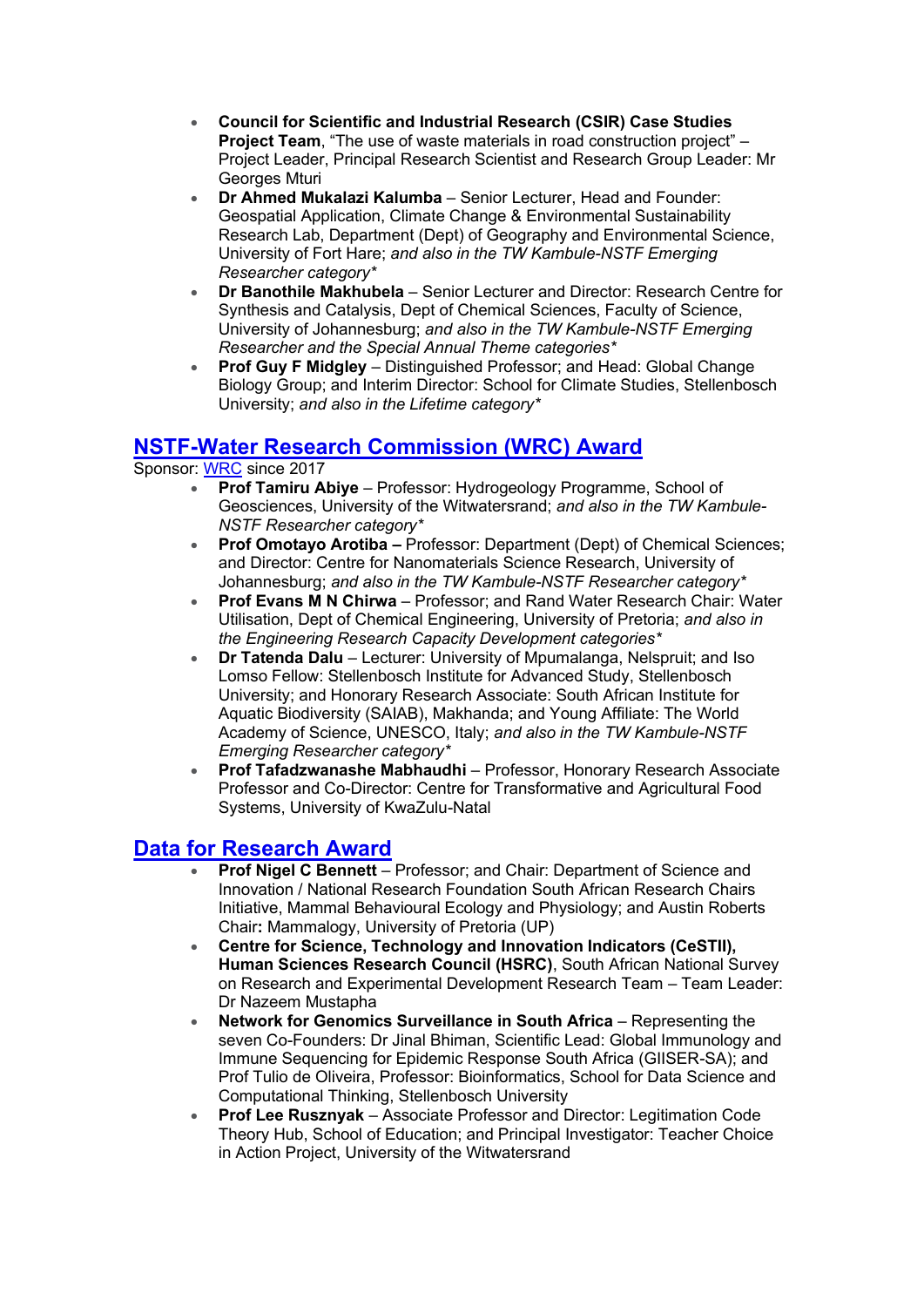- **Council for Scientific and Industrial Research (CSIR) Case Studies Project Team**, "The use of waste materials in road construction project" – Project Leader, Principal Research Scientist and Research Group Leader: Mr Georges Mturi
- **Dr Ahmed Mukalazi Kalumba** Senior Lecturer, Head and Founder: Geospatial Application, Climate Change & Environmental Sustainability Research Lab, Department (Dept) of Geography and Environmental Science, University of Fort Hare; *and also in the TW Kambule-NSTF Emerging Researcher category\**
- **Dr Banothile Makhubela** Senior Lecturer and Director: Research Centre for Synthesis and Catalysis, Dept of Chemical Sciences, Faculty of Science, University of Johannesburg; *and also in the TW Kambule-NSTF Emerging Researcher and the Special Annual Theme categories\**
- **Prof Guy F Midgley** Distinguished Professor; and Head: Global Change Biology Group; and Interim Director: School for Climate Studies, Stellenbosch University; *and also in the Lifetime category\**

#### **[NSTF-Water Research Commission \(WRC\) Award](https://comms.evlink9.net/servlet/link/375/692976/143864004/2865667)**

Sponsor: [WRC](https://comms.evlink9.net/servlet/link/375/692976/143864004/2865668) since 2017

- **Prof Tamiru Abiye** Professor: Hydrogeology Programme, School of Geosciences, University of the Witwatersrand; *and also in the TW Kambule-NSTF Researcher category\**
- **Prof Omotayo Arotiba –** Professor: Department (Dept) of Chemical Sciences; and Director: Centre for Nanomaterials Science Research, University of Johannesburg; *and also in the TW Kambule-NSTF Researcher category\**
- **Prof Evans M N Chirwa** Professor; and Rand Water Research Chair: Water Utilisation, Dept of Chemical Engineering, University of Pretoria; *and also in the Engineering Research Capacity Development categories\**
- **Dr Tatenda Dalu** Lecturer: University of Mpumalanga, Nelspruit; and Iso Lomso Fellow: Stellenbosch Institute for Advanced Study, Stellenbosch University; and Honorary Research Associate: South African Institute for Aquatic Biodiversity (SAIAB), Makhanda; and Young Affiliate: The World Academy of Science, UNESCO, Italy; *and also in the TW Kambule-NSTF Emerging Researcher category\**
- **Prof Tafadzwanashe Mabhaudhi** Professor, Honorary Research Associate Professor and Co-Director: Centre for Transformative and Agricultural Food Systems, University of KwaZulu-Natal

### **[Data for Research Award](https://comms.evlink9.net/servlet/link/375/692976/143864004/2865669)**

- **Prof Nigel C Bennett** Professor; and Chair: Department of Science and Innovation / National Research Foundation South African Research Chairs Initiative, Mammal Behavioural Ecology and Physiology; and Austin Roberts Chair**:** Mammalogy, University of Pretoria (UP)
- **Centre for Science, Technology and Innovation Indicators (CeSTII), Human Sciences Research Council (HSRC)**, South African National Survey on Research and Experimental Development Research Team – Team Leader: Dr Nazeem Mustapha
- **Network for Genomics Surveillance in South Africa** Representing the seven Co-Founders: Dr Jinal Bhiman, Scientific Lead: Global Immunology and Immune Sequencing for Epidemic Response South Africa (GIISER-SA); and Prof Tulio de Oliveira, Professor: Bioinformatics, School for Data Science and Computational Thinking, Stellenbosch University
- **Prof Lee Rusznyak** Associate Professor and Director: Legitimation Code Theory Hub, School of Education; and Principal Investigator: Teacher Choice in Action Project, University of the Witwatersrand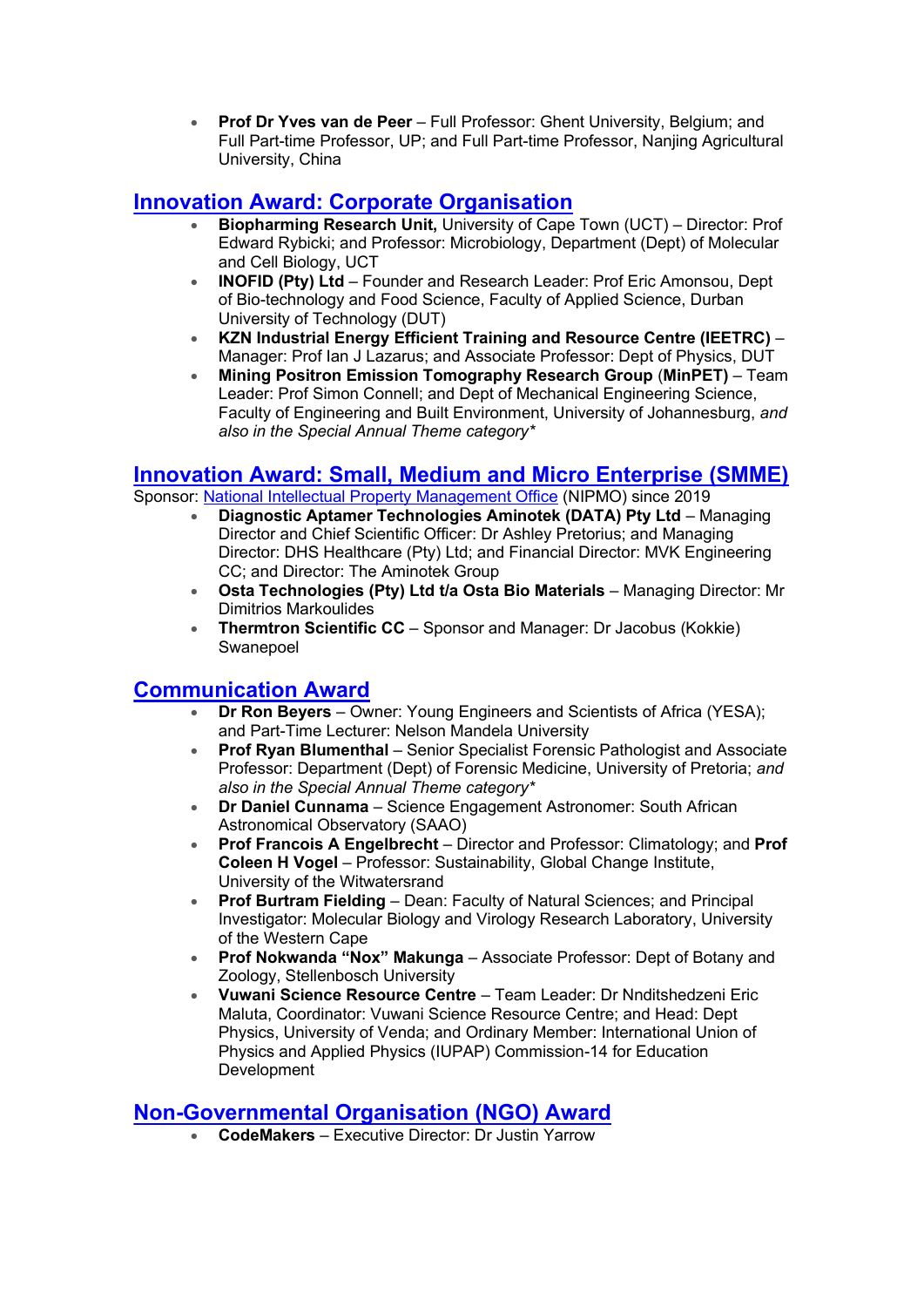• **Prof Dr Yves van de Peer** – Full Professor: Ghent University, Belgium; and Full Part-time Professor, UP; and Full Part-time Professor, Nanjing Agricultural University, China

### **[Innovation Award: Corporate Organisation](https://comms.evlink9.net/servlet/link/375/692976/143864004/2865670)**

- **Biopharming Research Unit,** University of Cape Town (UCT) Director: Prof Edward Rybicki; and Professor: Microbiology, Department (Dept) of Molecular and Cell Biology, UCT
- **INOFID (Pty) Ltd** Founder and Research Leader: Prof Eric Amonsou, Dept of Bio-technology and Food Science, Faculty of Applied Science, Durban University of Technology (DUT)
- **KZN Industrial Energy Efficient Training and Resource Centre (IEETRC)** Manager: Prof Ian J Lazarus; and Associate Professor: Dept of Physics, DUT
- **Mining Positron Emission Tomography Research Group** (**MinPET)** Team Leader: Prof Simon Connell; and Dept of Mechanical Engineering Science, Faculty of Engineering and Built Environment, University of Johannesburg, *and also in the Special Annual Theme category\**

#### **[Innovation Award: Small, Medium and Micro Enterprise \(SMME\)](https://comms.evlink9.net/servlet/link/375/692976/143864004/2865671)**

Sponsor: [National Intellectual Property Management Office](https://comms.evlink9.net/servlet/link/375/692976/143864004/2865672) (NIPMO) since 2019

- **Diagnostic Aptamer Technologies Aminotek (DATA) Pty Ltd** Managing Director and Chief Scientific Officer: Dr Ashley Pretorius; and Managing Director: DHS Healthcare (Pty) Ltd; and Financial Director: MVK Engineering CC; and Director: The Aminotek Group
- **Osta Technologies (Pty) Ltd t/a Osta Bio Materials** Managing Director: Mr Dimitrios Markoulides
- **Thermtron Scientific CC** Sponsor and Manager: Dr Jacobus (Kokkie) Swanepoel

### **[Communication Award](https://comms.evlink9.net/servlet/link/375/692976/143864004/2865673)**

- **Dr Ron Beyers** Owner: Young Engineers and Scientists of Africa (YESA); and Part-Time Lecturer: Nelson Mandela University
- **Prof Ryan Blumenthal** Senior Specialist Forensic Pathologist and Associate Professor: Department (Dept) of Forensic Medicine, University of Pretoria; *and also in the Special Annual Theme category\**
- **Dr Daniel Cunnama** Science Engagement Astronomer: South African Astronomical Observatory (SAAO)
- **Prof Francois A Engelbrecht** Director and Professor: Climatology; and **Prof Coleen H Vogel** – Professor: Sustainability, Global Change Institute, University of the Witwatersrand
- **Prof Burtram Fielding** Dean: Faculty of Natural Sciences; and Principal Investigator: Molecular Biology and Virology Research Laboratory, University of the Western Cape
- **Prof Nokwanda "Nox" Makunga** Associate Professor: Dept of Botany and Zoology, Stellenbosch University
- **Vuwani Science Resource Centre** Team Leader: Dr Nnditshedzeni Eric Maluta, Coordinator: Vuwani Science Resource Centre; and Head: Dept Physics, University of Venda; and Ordinary Member: International Union of Physics and Applied Physics (IUPAP) Commission-14 for Education Development

### **[Non-Governmental Organisation \(NGO\) Award](https://comms.evlink9.net/servlet/link/375/692976/143864004/2865674)**

• **CodeMakers** – Executive Director: Dr Justin Yarrow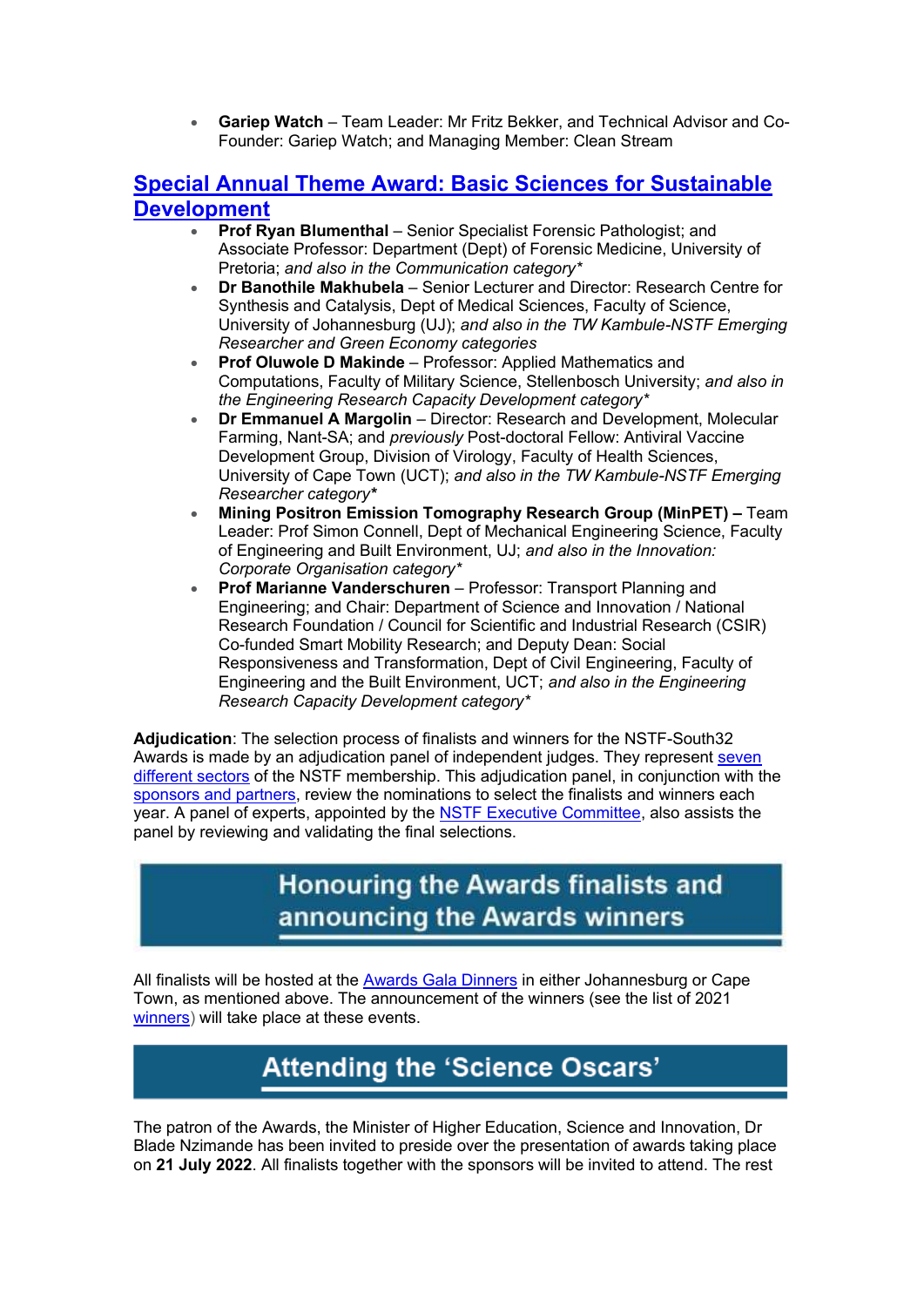• **Gariep Watch** – Team Leader: Mr Fritz Bekker, and Technical Advisor and Co-Founder: Gariep Watch; and Managing Member: Clean Stream

#### **[Special Annual Theme Award: Basic Sciences](https://comms.evlink9.net/servlet/link/375/692976/143864004/2865675) for Sustainable [Development](https://comms.evlink9.net/servlet/link/375/692976/143864004/2865675)**

- **Prof Ryan Blumenthal** Senior Specialist Forensic Pathologist; and Associate Professor: Department (Dept) of Forensic Medicine, University of Pretoria; *and also in the Communication category\**
- **Dr Banothile Makhubela** Senior Lecturer and Director: Research Centre for Synthesis and Catalysis, Dept of Medical Sciences, Faculty of Science, University of Johannesburg (UJ); *and also in the TW Kambule-NSTF Emerging Researcher and Green Economy categories*
- **Prof Oluwole D Makinde** Professor: Applied Mathematics and Computations, Faculty of Military Science, Stellenbosch University; *and also in the Engineering Research Capacity Development category\**
- **Dr Emmanuel A Margolin** Director: Research and Development, Molecular Farming, Nant-SA; and *previously* Post-doctoral Fellow: Antiviral Vaccine Development Group, Division of Virology, Faculty of Health Sciences, University of Cape Town (UCT); *and also in the TW Kambule-NSTF Emerging Researcher category\**
- **Mining Positron Emission Tomography Research Group (MinPET) –** Team Leader: Prof Simon Connell, Dept of Mechanical Engineering Science, Faculty of Engineering and Built Environment, UJ; *and also in the Innovation: Corporate Organisation category\**
- **Prof Marianne Vanderschuren** Professor: Transport Planning and Engineering; and Chair: Department of Science and Innovation / National Research Foundation / Council for Scientific and Industrial Research (CSIR) Co-funded Smart Mobility Research; and Deputy Dean: Social Responsiveness and Transformation, Dept of Civil Engineering, Faculty of Engineering and the Built Environment, UCT; *and also in the Engineering Research Capacity Development category\**

**Adjudication**: The selection process of finalists and winners for the NSTF-South32 Awards is made by an adjudication panel of independent judges. They represent [seven](https://comms.evlink9.net/servlet/link/375/692976/143864004/2865676)  [different sectors](https://comms.evlink9.net/servlet/link/375/692976/143864004/2865676) of the NSTF membership. This adjudication panel, in conjunction with the [sponsors and partners,](https://comms.evlink9.net/servlet/link/375/692976/143864004/2865677) review the nominations to select the finalists and winners each year. A panel of experts, appointed by the [NSTF Executive Committee,](https://comms.evlink9.net/servlet/link/375/692976/143864004/2865678) also assists the panel by reviewing and validating the final selections.

## **Honouring the Awards finalists and** announcing the Awards winners

All finalists will be hosted at the [Awards Gala Dinners](https://comms.evlink9.net/servlet/link/375/692976/143864004/2865679) in either Johannesburg or Cape Town, as mentioned above. The announcement of the winners (see the list of 2021 [winners\)](https://comms.evlink9.net/servlet/link/375/692976/143864004/2865680) will take place at these events.

# **Attending the 'Science Oscars'**

The patron of the Awards, the Minister of Higher Education, Science and Innovation, Dr Blade Nzimande has been invited to preside over the presentation of awards taking place on **21 July 2022**. All finalists together with the sponsors will be invited to attend. The rest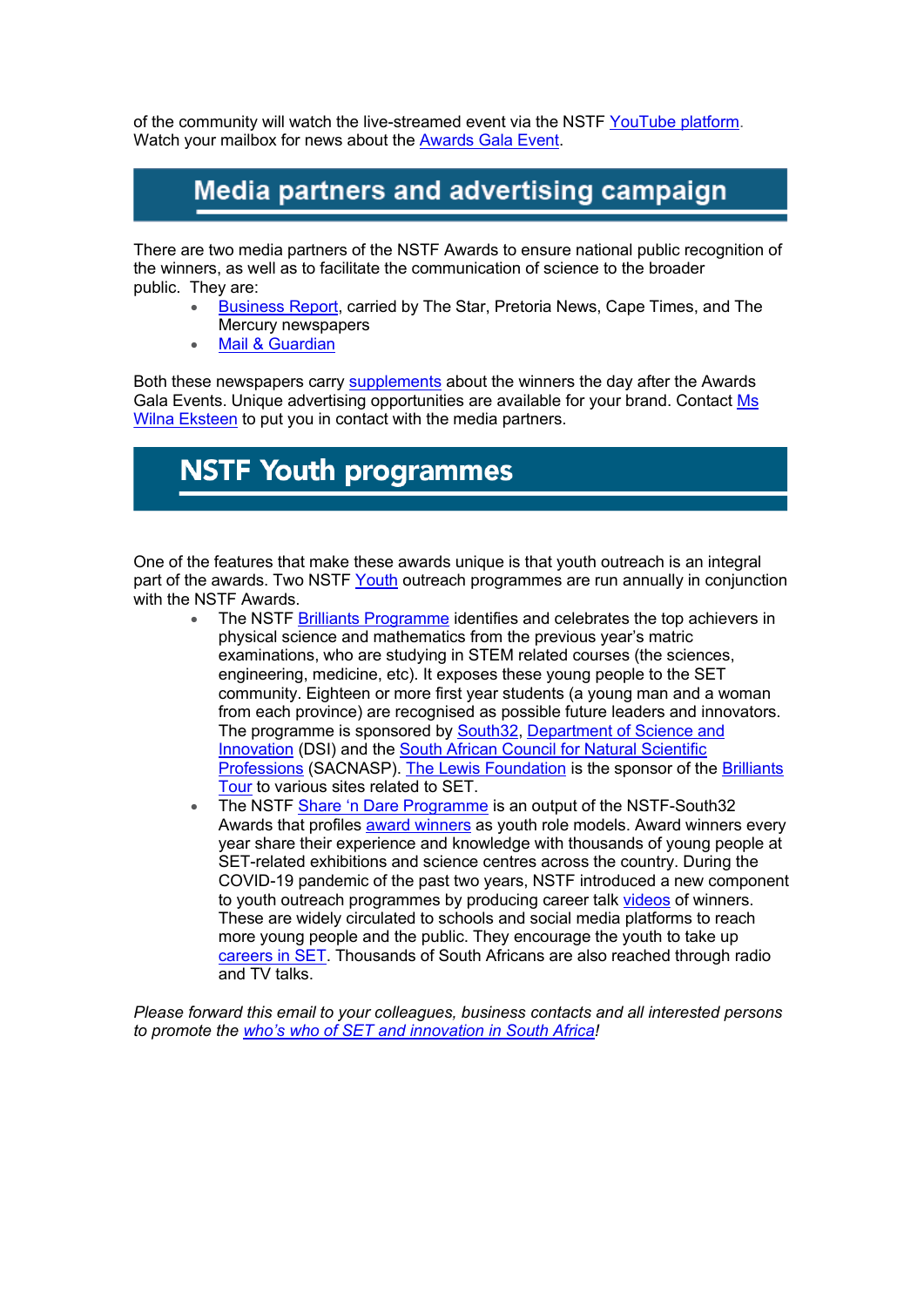of the community will watch the live-streamed event via the NSTF [YouTube platform.](https://comms.evlink9.net/servlet/link/375/692976/143864004/2865681) Watch your mailbox for news about the **Awards Gala Event**.

## Media partners and advertising campaign

There are two media partners of the NSTF Awards to ensure national public recognition of the winners, as well as to facilitate the communication of science to the broader public. They are:

- [Business Report,](https://comms.evlink9.net/servlet/link/375/692976/143864004/2865683) carried by The Star, Pretoria News, Cape Times, and The Mercury newspapers
- [Mail & Guardian](https://comms.evlink9.net/servlet/link/375/692976/143864004/2865684)

Both these newspapers carry [supplements](https://comms.evlink9.net/servlet/link/375/692976/143864004/2865685) about the winners the day after the Awards Gala Events. Unique advertising opportunities are available for your brand. Contact [Ms](mailto:awards@nstf.org.za?subject=Advertising%20opportunity:%20Supplement%20on%20the%20NSTF%20Awards)  [Wilna Eksteen](mailto:awards@nstf.org.za?subject=Advertising%20opportunity:%20Supplement%20on%20the%20NSTF%20Awards) to put you in contact with the media partners.

# **NSTF Youth programmes**

One of the features that make these awards unique is that youth outreach is an integral part of the awards. Two NSTF [Youth](https://comms.evlink9.net/servlet/link/375/692976/143864004/2865686) outreach programmes are run annually in conjunction with the NSTF Awards.

- The NSTF [Brilliants Programme](https://comms.evlink9.net/servlet/link/375/692976/143864004/2865687) identifies and celebrates the top achievers in physical science and mathematics from the previous year's matric examinations, who are studying in STEM related courses (the sciences, engineering, medicine, etc). It exposes these young people to the SET community. Eighteen or more first year students (a young man and a woman from each province) are recognised as possible future leaders and innovators. The programme is sponsored by [South32,](https://comms.evlink9.net/servlet/link/375/692976/143864004/2865688) [Department of Science and](https://comms.evlink9.net/servlet/link/375/692976/143864004/2865689)  [Innovation](https://comms.evlink9.net/servlet/link/375/692976/143864004/2865689) (DSI) and the [South African Council for Natural Scientific](https://comms.evlink9.net/servlet/link/375/692976/143864004/2865690)  [Professions](https://comms.evlink9.net/servlet/link/375/692976/143864004/2865690) (SACNASP). [The Lewis Foundation](https://comms.evlink9.net/servlet/link/375/692976/143864004/2865691) is the sponsor of the [Brilliants](https://comms.evlink9.net/servlet/link/375/692976/143864004/2865692)  [Tour](https://comms.evlink9.net/servlet/link/375/692976/143864004/2865692) to various sites related to SET.
- The NSTF Share '[n Dare Programme](https://comms.evlink9.net/servlet/link/375/692976/143864004/2865693) is an output of the NSTF-South32 Awards that profiles [award winners](https://comms.evlink9.net/servlet/link/375/692976/143864004/2865694) as youth role models. Award winners every year share their experience and knowledge with thousands of young people at SET-related exhibitions and science centres across the country. During the COVID-19 pandemic of the past two years, NSTF introduced a new component to youth outreach programmes by producing career talk [videos](https://comms.evlink9.net/servlet/link/375/692976/143864004/2865695) of winners. These are widely circulated to schools and social media platforms to reach more young people and the public. They encourage the youth to take up [careers in SET.](https://comms.evlink9.net/servlet/link/375/692976/143864004/2865696) Thousands of South Africans are also reached through radio and TV talks.

*Please forward this email to your colleagues, business contacts and all interested persons to promote the [who's who of SET and innovation in South Africa](https://comms.evlink9.net/servlet/link/375/692976/143864004/2865697)!*